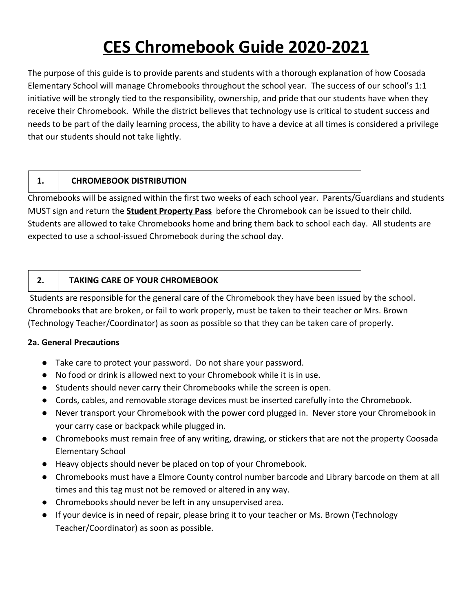# **CES Chromebook Guide 2020-2021**

The purpose of this guide is to provide parents and students with a thorough explanation of how Coosada Elementary School will manage Chromebooks throughout the school year. The success of our school's 1:1 initiative will be strongly tied to the responsibility, ownership, and pride that our students have when they receive their Chromebook. While the district believes that technology use is critical to student success and needs to be part of the daily learning process, the ability to have a device at all times is considered a privilege that our students should not take lightly.

#### **1. CHROMEBOOK DISTRIBUTION**

Chromebooks will be assigned within the first two weeks of each school year. Parents/Guardians and students MUST sign and return the **Student Property Pass** before the Chromebook can be issued to their child. Students are allowed to take Chromebooks home and bring them back to school each day. All students are expected to use a school-issued Chromebook during the school day.

## **2. TAKING CARE OF YOUR CHROMEBOOK**

 Students are responsible for the general care of the Chromebook they have been issued by the school. Chromebooks that are broken, or fail to work properly, must be taken to their teacher or Mrs. Brown (Technology Teacher/Coordinator) as soon as possible so that they can be taken care of properly.

#### **2a. General Precautions**

- Take care to protect your password. Do not share your password.
- No food or drink is allowed next to your Chromebook while it is in use.
- Students should never carry their Chromebooks while the screen is open.
- Cords, cables, and removable storage devices must be inserted carefully into the Chromebook.
- Never transport your Chromebook with the power cord plugged in. Never store your Chromebook in your carry case or backpack while plugged in.
- Chromebooks must remain free of any writing, drawing, or stickers that are not the property Coosada Elementary School
- Heavy objects should never be placed on top of your Chromebook.
- Chromebooks must have a Elmore County control number barcode and Library barcode on them at all times and this tag must not be removed or altered in any way.
- Chromebooks should never be left in any unsupervised area.
- If your device is in need of repair, please bring it to your teacher or Ms. Brown (Technology Teacher/Coordinator) as soon as possible.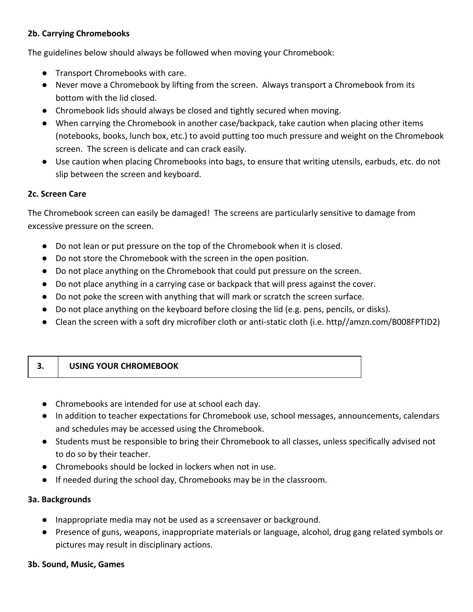#### **2b. Carrying Chromebooks**

The guidelines below should always be followed when moving your Chromebook:

- Transport Chromebooks with care.
- Never move a Chromebook by lifting from the screen. Always transport a Chromebook from its bottom with the lid closed.
- Chromebook lids should always be closed and tightly secured when moving.
- When carrying the Chromebook in another case/backpack, take caution when placing other items (notebooks, books, lunch box, etc.) to avoid putting too much pressure and weight on the Chromebook screen. The screen is delicate and can crack easily.
- Use caution when placing Chromebooks into bags, to ensure that writing utensils, earbuds, etc. do not slip between the screen and keyboard.

#### **2c. Screen Care**

The Chromebook screen can easily be damaged! The screens are particularly sensitive to damage from excessive pressure on the screen.

- Do not lean or put pressure on the top of the Chromebook when it is closed.
- Do not store the Chromebook with the screen in the open position.
- Do not place anything on the Chromebook that could put pressure on the screen.
- Do not place anything in a carrying case or backpack that will press against the cover.
- Do not poke the screen with anything that will mark or scratch the screen surface.
- Do not place anything on the keyboard before closing the lid (e.g. pens, pencils, or disks).
- Clean the screen with a soft dry microfiber cloth or anti-static cloth (i.e. http//amzn.com/B008FPTID2)

| <b>USING YOUR CHROMEBOOK</b><br>. . |
|-------------------------------------|
|-------------------------------------|

- Chromebooks are intended for use at school each day.
- In addition to teacher expectations for Chromebook use, school messages, announcements, calendars and schedules may be accessed using the Chromebook.
- Students must be responsible to bring their Chromebook to all classes, unless specifically advised not to do so by their teacher.
- Chromebooks should be locked in lockers when not in use.
- If needed during the school day, Chromebooks may be in the classroom.

#### **3a. Backgrounds**

- Inappropriate media may not be used as a screensaver or background.
- Presence of guns, weapons, inappropriate materials or language, alcohol, drug gang related symbols or pictures may result in disciplinary actions.

#### **3b. Sound, Music, Games**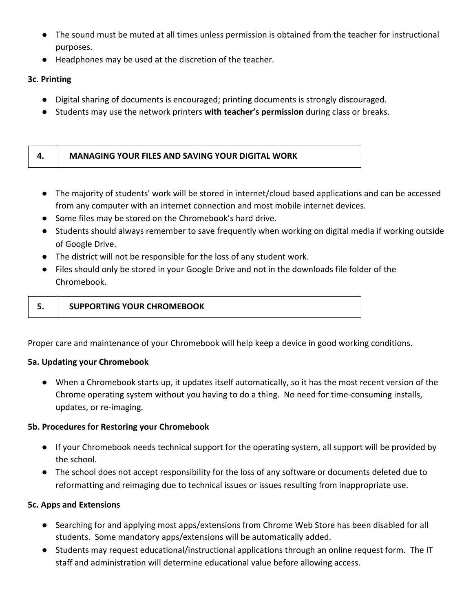- The sound must be muted at all times unless permission is obtained from the teacher for instructional purposes.
- Headphones may be used at the discretion of the teacher.

### **3c. Printing**

- Digital sharing of documents is encouraged; printing documents is strongly discouraged.
- Students may use the network printers **with teacher's permission** during class or breaks.

| <b>MANAGING YOUR FILES AND SAVING YOUR DIGITAL WORK</b> |
|---------------------------------------------------------|
|                                                         |

- The majority of students' work will be stored in internet/cloud based applications and can be accessed from any computer with an internet connection and most mobile internet devices.
- Some files may be stored on the Chromebook's hard drive.
- Students should always remember to save frequently when working on digital media if working outside of Google Drive.
- The district will not be responsible for the loss of any student work.
- Files should only be stored in your Google Drive and not in the downloads file folder of the Chromebook.

| <b>SUPPORTING YOUR CHROMEBOOK</b> |
|-----------------------------------|

Proper care and maintenance of your Chromebook will help keep a device in good working conditions.

#### **5a. Updating your Chromebook**

● When a Chromebook starts up, it updates itself automatically, so it has the most recent version of the Chrome operating system without you having to do a thing. No need for time-consuming installs, updates, or re-imaging.

#### **5b. Procedures for Restoring your Chromebook**

- If your Chromebook needs technical support for the operating system, all support will be provided by the school.
- The school does not accept responsibility for the loss of any software or documents deleted due to reformatting and reimaging due to technical issues or issues resulting from inappropriate use.

#### **5c. Apps and Extensions**

- Searching for and applying most apps/extensions from Chrome Web Store has been disabled for all students. Some mandatory apps/extensions will be automatically added.
- Students may request educational/instructional applications through an online request form. The IT staff and administration will determine educational value before allowing access.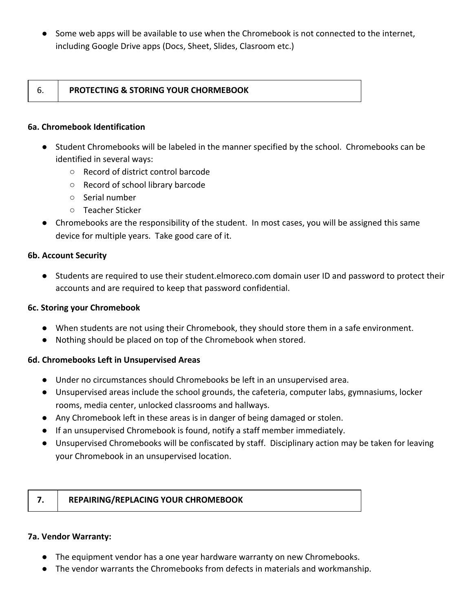● Some web apps will be available to use when the Chromebook is not connected to the internet, including Google Drive apps (Docs, Sheet, Slides, Clasroom etc.)

#### 6. **PROTECTING & STORING YOUR CHORMEBOOK**

#### **6a. Chromebook Identification**

- Student Chromebooks will be labeled in the manner specified by the school. Chromebooks can be identified in several ways:
	- Record of district control barcode
	- Record of school library barcode
	- Serial number
	- Teacher Sticker
- Chromebooks are the responsibility of the student. In most cases, you will be assigned this same device for multiple years. Take good care of it.

#### **6b. Account Security**

● Students are required to use their student.elmoreco.com domain user ID and password to protect their accounts and are required to keep that password confidential.

#### **6c. Storing your Chromebook**

- When students are not using their Chromebook, they should store them in a safe environment.
- Nothing should be placed on top of the Chromebook when stored.

#### **6d. Chromebooks Left in Unsupervised Areas**

- Under no circumstances should Chromebooks be left in an unsupervised area.
- Unsupervised areas include the school grounds, the cafeteria, computer labs, gymnasiums, locker rooms, media center, unlocked classrooms and hallways.
- Any Chromebook left in these areas is in danger of being damaged or stolen.
- If an unsupervised Chromebook is found, notify a staff member immediately.
- Unsupervised Chromebooks will be confiscated by staff. Disciplinary action may be taken for leaving your Chromebook in an unsupervised location.

#### **7. REPAIRING/REPLACING YOUR CHROMEBOOK**

#### **7a. Vendor Warranty:**

- The equipment vendor has a one year hardware warranty on new Chromebooks.
- The vendor warrants the Chromebooks from defects in materials and workmanship.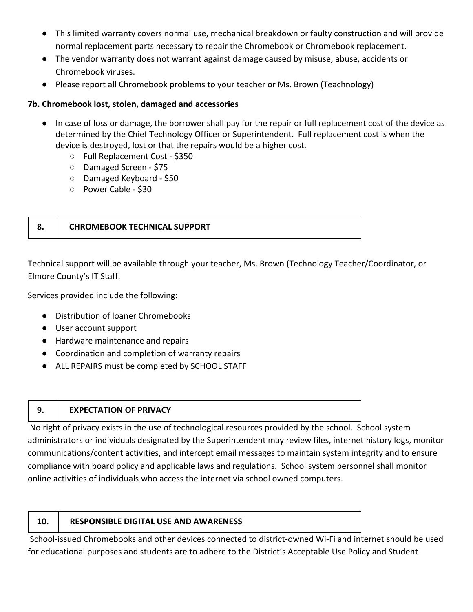- This limited warranty covers normal use, mechanical breakdown or faulty construction and will provide normal replacement parts necessary to repair the Chromebook or Chromebook replacement.
- The vendor warranty does not warrant against damage caused by misuse, abuse, accidents or Chromebook viruses.
- Please report all Chromebook problems to your teacher or Ms. Brown (Teachnology)

#### **7b. Chromebook lost, stolen, damaged and accessories**

- In case of loss or damage, the borrower shall pay for the repair or full replacement cost of the device as determined by the Chief Technology Officer or Superintendent. Full replacement cost is when the device is destroyed, lost or that the repairs would be a higher cost.
	- Full Replacement Cost \$350
	- Damaged Screen \$75
	- Damaged Keyboard \$50
	- Power Cable \$30

# **8. CHROMEBOOK TECHNICAL SUPPORT**

Technical support will be available through your teacher, Ms. Brown (Technology Teacher/Coordinator, or Elmore County's IT Staff.

Services provided include the following:

- Distribution of loaner Chromebooks
- User account support
- Hardware maintenance and repairs
- Coordination and completion of warranty repairs
- ALL REPAIRS must be completed by SCHOOL STAFF
- 

#### **9. EXPECTATION OF PRIVACY**

 No right of privacy exists in the use of technological resources provided by the school. School system administrators or individuals designated by the Superintendent may review files, internet history logs, monitor communications/content activities, and intercept email messages to maintain system integrity and to ensure compliance with board policy and applicable laws and regulations. School system personnel shall monitor online activities of individuals who access the internet via school owned computers.

#### **10. RESPONSIBLE DIGITAL USE AND AWARENESS**

 School-issued Chromebooks and other devices connected to district-owned Wi-Fi and internet should be used for educational purposes and students are to adhere to the District's Acceptable Use Policy and Student